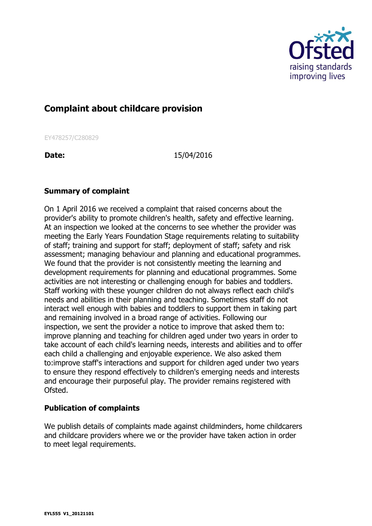

## **Complaint about childcare provision**

EY478257/C280829

**Date:** 15/04/2016

## **Summary of complaint**

On 1 April 2016 we received a complaint that raised concerns about the provider's ability to promote children's health, safety and effective learning. At an inspection we looked at the concerns to see whether the provider was meeting the Early Years Foundation Stage requirements relating to suitability of staff; training and support for staff; deployment of staff; safety and risk assessment; managing behaviour and planning and educational programmes. We found that the provider is not consistently meeting the learning and development requirements for planning and educational programmes. Some activities are not interesting or challenging enough for babies and toddlers. Staff working with these younger children do not always reflect each child's needs and abilities in their planning and teaching. Sometimes staff do not interact well enough with babies and toddlers to support them in taking part and remaining involved in a broad range of activities. Following our inspection, we sent the provider a notice to improve that asked them to: improve planning and teaching for children aged under two years in order to take account of each child's learning needs, interests and abilities and to offer each child a challenging and enjoyable experience. We also asked them to:improve staff's interactions and support for children aged under two years to ensure they respond effectively to children's emerging needs and interests and encourage their purposeful play. The provider remains registered with Ofsted.

## **Publication of complaints**

We publish details of complaints made against childminders, home childcarers and childcare providers where we or the provider have taken action in order to meet legal requirements.